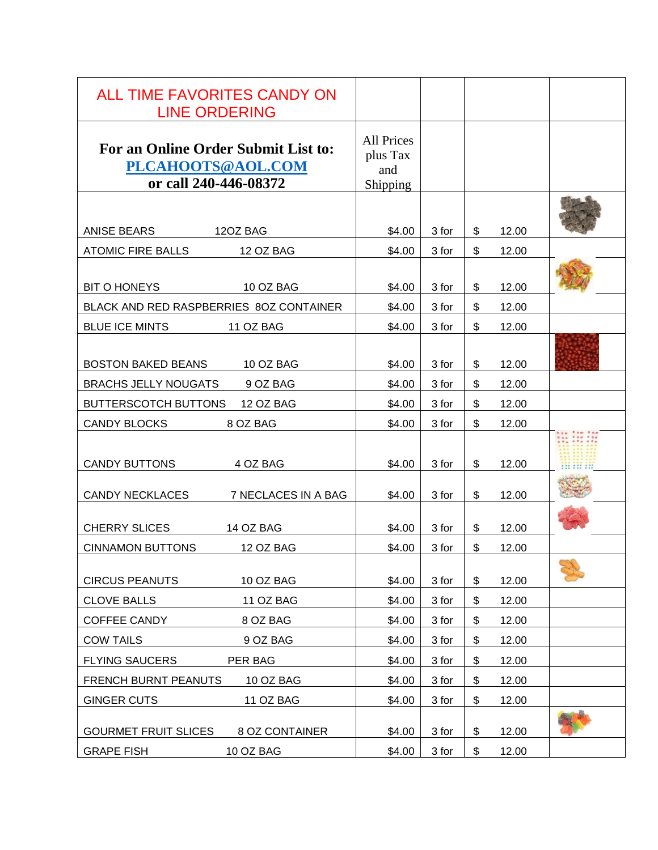| ALL TIME FAVORITES CANDY ON<br><b>LINE ORDERING</b>                               |                                                  |       |             |  |
|-----------------------------------------------------------------------------------|--------------------------------------------------|-------|-------------|--|
| For an Online Order Submit List to:<br>PLCAHOOTS@AOL.COM<br>or call 240-446-08372 | <b>All Prices</b><br>plus Tax<br>and<br>Shipping |       |             |  |
|                                                                                   |                                                  |       |             |  |
| ANISE BEARS<br>12OZ BAG                                                           | \$4.00                                           | 3 for | \$<br>12.00 |  |
| <b>ATOMIC FIRE BALLS</b><br>12 OZ BAG                                             | \$4.00                                           | 3 for | \$<br>12.00 |  |
|                                                                                   |                                                  |       |             |  |
| 10 OZ BAG<br><b>BIT O HONEYS</b>                                                  | \$4.00                                           | 3 for | \$<br>12.00 |  |
| BLACK AND RED RASPBERRIES 80Z CONTAINER                                           | \$4.00                                           | 3 for | \$<br>12.00 |  |
| <b>BLUE ICE MINTS</b><br><b>11 OZ BAG</b>                                         | \$4.00                                           | 3 for | \$<br>12.00 |  |
|                                                                                   |                                                  |       |             |  |
| BOSTON BAKED BEANS 10 OZ BAG                                                      | \$4.00                                           | 3 for | \$<br>12.00 |  |
| 9 OZ BAG<br><b>BRACHS JELLY NOUGATS</b>                                           | \$4.00                                           | 3 for | \$<br>12.00 |  |
| BUTTERSCOTCH BUTTONS<br>12 OZ BAG                                                 | \$4.00                                           | 3 for | \$<br>12.00 |  |
| <b>CANDY BLOCKS</b><br>8 OZ BAG                                                   | \$4.00                                           | 3 for | \$<br>12.00 |  |
| <b>CANDY BUTTONS</b><br>4 OZ BAG                                                  | \$4.00                                           | 3 for | \$<br>12.00 |  |
| <b>CANDY NECKLACES</b><br>7 NECLACES IN A BAG                                     | \$4.00                                           | 3 for | \$<br>12.00 |  |
| <b>CHERRY SLICES</b><br>14 OZ BAG                                                 | \$4.00                                           | 3 for | \$<br>12.00 |  |
| <b>CINNAMON BUTTONS</b><br><b>12 OZ BAG</b>                                       | \$4.00                                           | 3 for | \$<br>12.00 |  |
| <b>CIRCUS PEANUTS</b><br>10 OZ BAG                                                | \$4.00                                           | 3 for | \$<br>12.00 |  |
| <b>CLOVE BALLS</b><br>11 OZ BAG                                                   | \$4.00                                           | 3 for | \$<br>12.00 |  |
| COFFEE CANDY<br>8 OZ BAG                                                          | \$4.00                                           | 3 for | \$<br>12.00 |  |
| <b>COW TAILS</b><br>9 OZ BAG                                                      | \$4.00                                           | 3 for | \$<br>12.00 |  |
| <b>FLYING SAUCERS</b><br>PER BAG                                                  | \$4.00                                           | 3 for | \$<br>12.00 |  |
| <b>FRENCH BURNT PEANUTS</b><br>10 OZ BAG                                          | \$4.00                                           | 3 for | \$<br>12.00 |  |
| <b>GINGER CUTS</b><br>11 OZ BAG                                                   | \$4.00                                           | 3 for | \$<br>12.00 |  |
| <b>GOURMET FRUIT SLICES</b><br>8 OZ CONTAINER                                     | \$4.00                                           | 3 for | \$<br>12.00 |  |
| <b>GRAPE FISH</b><br>10 OZ BAG                                                    | \$4.00                                           | 3 for | \$<br>12.00 |  |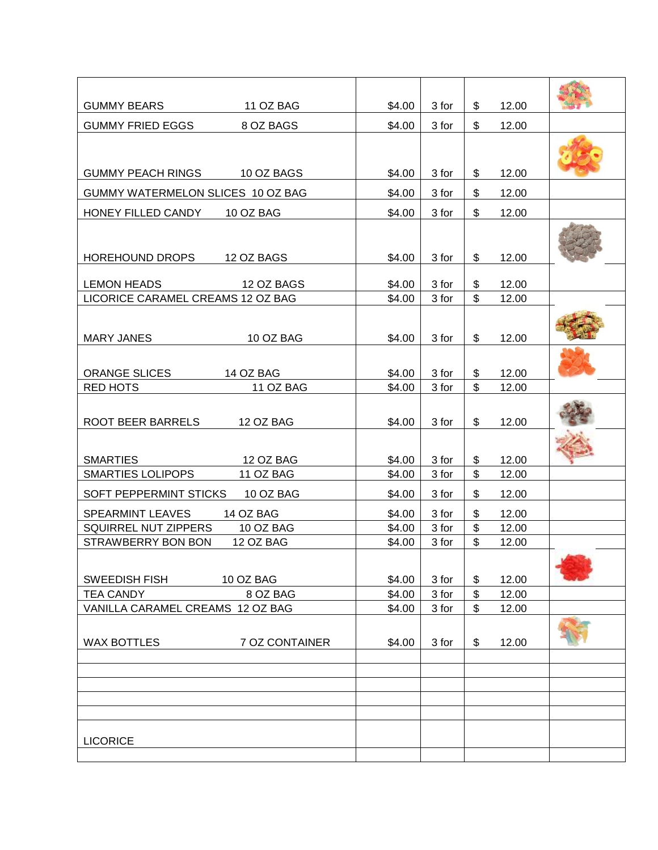| <b>GUMMY BEARS</b><br>11 OZ BAG                                              | \$4.00           | 3 for          | \$                   | 12.00          |  |
|------------------------------------------------------------------------------|------------------|----------------|----------------------|----------------|--|
| <b>GUMMY FRIED EGGS</b><br>8 OZ BAGS                                         | \$4.00           | 3 for          | \$                   | 12.00          |  |
|                                                                              |                  |                |                      |                |  |
| GUMMY PEACH RINGS 10 OZ BAGS                                                 | \$4.00           | 3 for          | \$                   | 12.00          |  |
| GUMMY WATERMELON SLICES 10 OZ BAG                                            | \$4.00           | 3 for          | \$                   | 12.00          |  |
| HONEY FILLED CANDY<br>10 OZ BAG                                              | \$4.00           | 3 for          | \$                   | 12.00          |  |
|                                                                              |                  |                |                      |                |  |
| HOREHOUND DROPS 12 OZ BAGS                                                   | \$4.00           | 3 for          | \$                   | 12.00          |  |
| <b>LEMON HEADS</b><br>12 OZ BAGS                                             | \$4.00           | 3 for          | \$                   | 12.00          |  |
| LICORICE CARAMEL CREAMS 12 OZ BAG                                            | \$4.00           | 3 for          | $\mathfrak{S}$       | 12.00          |  |
|                                                                              |                  |                |                      |                |  |
|                                                                              |                  |                |                      |                |  |
| <b>MARY JANES</b><br>10 OZ BAG                                               | \$4.00           | 3 for          | \$                   | 12.00          |  |
| <b>ORANGE SLICES</b>                                                         |                  |                |                      | 12.00          |  |
| <b>14 OZ BAG</b><br><b>RED HOTS</b><br>11 OZ BAG                             | \$4.00<br>\$4.00 | 3 for<br>3 for | \$<br>$\mathfrak{S}$ | 12.00          |  |
|                                                                              |                  |                |                      |                |  |
| ROOT BEER BARRELS<br>12 OZ BAG                                               | \$4.00           | 3 for          | \$                   | 12.00          |  |
|                                                                              |                  |                |                      |                |  |
|                                                                              |                  |                |                      |                |  |
| <b>SMARTIES</b><br><b>12 OZ BAG</b><br>11 OZ BAG<br><b>SMARTIES LOLIPOPS</b> | \$4.00<br>\$4.00 | 3 for<br>3 for | \$<br>$\mathfrak{S}$ | 12.00<br>12.00 |  |
|                                                                              |                  |                |                      |                |  |
| SOFT PEPPERMINT STICKS<br>10 OZ BAG                                          | \$4.00           | 3 for          | \$                   | 12.00          |  |
| 14 OZ BAG<br><b>SPEARMINT LEAVES</b>                                         | \$4.00           | 3 for          | \$                   | 12.00          |  |
| SQUIRREL NUT ZIPPERS<br>10 OZ BAG<br>STRAWBERRY BON BON<br>12 OZ BAG         | \$4.00<br>\$4.00 | 3 for<br>3 for | \$<br>\$             | 12.00<br>12.00 |  |
|                                                                              |                  |                |                      |                |  |
|                                                                              |                  |                |                      |                |  |
| 10 OZ BAG<br><b>SWEEDISH FISH</b><br>8 OZ BAG<br><b>TEA CANDY</b>            | \$4.00<br>\$4.00 | 3 for<br>3 for | \$<br>\$             | 12.00<br>12.00 |  |
| VANILLA CARAMEL CREAMS 12 OZ BAG                                             | \$4.00           | 3 for          | \$                   | 12.00          |  |
|                                                                              |                  |                |                      |                |  |
| <b>WAX BOTTLES</b><br>7 OZ CONTAINER                                         | \$4.00           | 3 for          | \$                   | 12.00          |  |
|                                                                              |                  |                |                      |                |  |
|                                                                              |                  |                |                      |                |  |
|                                                                              |                  |                |                      |                |  |
|                                                                              |                  |                |                      |                |  |
|                                                                              |                  |                |                      |                |  |
| <b>LICORICE</b>                                                              |                  |                |                      |                |  |
|                                                                              |                  |                |                      |                |  |